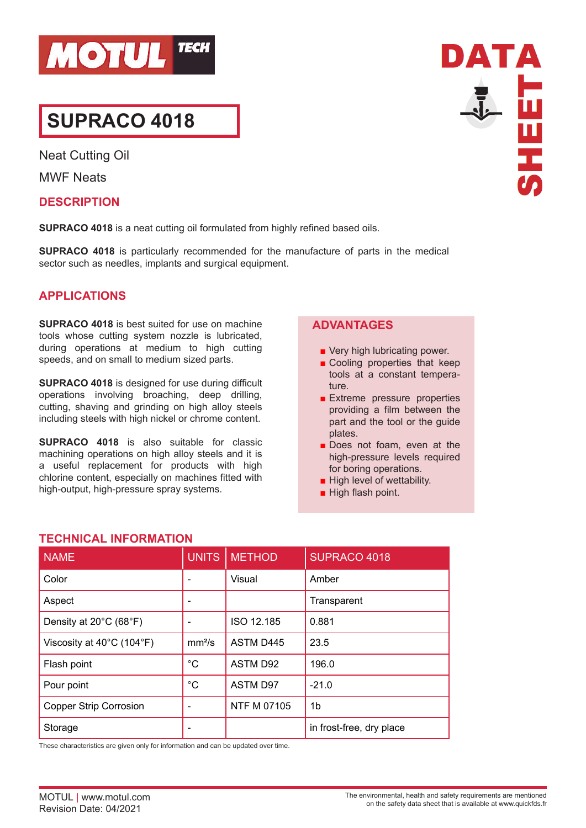

# **SUPRACO 4018**

Neat Cutting Oil

MWF Neats

#### **DESCRIPTION**

**SUPRACO 4018** is a neat cutting oil formulated from highly refined based oils.

**SUPRACO 4018** is particularly recommended for the manufacture of parts in the medical sector such as needles, implants and surgical equipment.

## **APPLICATIONS**

**SUPRACO 4018** is best suited for use on machine tools whose cutting system nozzle is lubricated, during operations at medium to high cutting speeds, and on small to medium sized parts.

**SUPRACO 4018** is designed for use during difficult operations involving broaching, deep drilling, cutting, shaving and grinding on high alloy steels including steels with high nickel or chrome content.

**SUPRACO 4018** is also suitable for classic machining operations on high alloy steels and it is a useful replacement for products with high chlorine content, especially on machines fitted with high-output, high-pressure spray systems.

## **ADVANTAGES**

- Very high lubricating power.
- Cooling properties that keep tools at a constant temperature.
- **Extreme pressure properties** providing a film between the part and the tool or the guide plates.
- Does not foam, even at the high-pressure levels required for boring operations.
- High level of wettability.
- High flash point.

| <b>NAME</b>                   | <b>UNITS</b>       | <b>METHOD</b>      | SUPRACO 4018             |
|-------------------------------|--------------------|--------------------|--------------------------|
| Color                         |                    | Visual             | Amber                    |
| Aspect                        |                    |                    | Transparent              |
| Density at 20°C (68°F)        |                    | ISO 12.185         | 0.881                    |
| Viscosity at 40°C (104°F)     | mm <sup>2</sup> /s | <b>ASTM D445</b>   | 23.5                     |
| Flash point                   | $^{\circ}C$        | <b>ASTM D92</b>    | 196.0                    |
| Pour point                    | $^{\circ}C$        | <b>ASTM D97</b>    | $-21.0$                  |
| <b>Copper Strip Corrosion</b> |                    | <b>NTF M 07105</b> | 1b                       |
| Storage                       |                    |                    | in frost-free, dry place |

**TECHNICAL INFORMATION**

These characteristics are given only for information and can be updated over time.